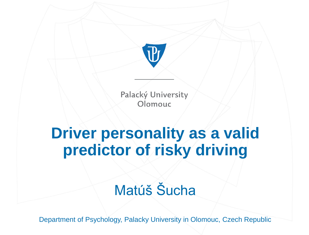

# **Driver personality as a valid predictor of risky driving**

## Matúš Šucha

Department of Psychology, Palacky University in Olomouc, Czech Republic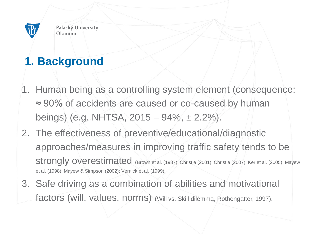

### **1. Background**

- 1. Human being as a controlling system element (consequence: ≈ 90% of accidents are caused or co-caused by human beings) (e.g. NHTSA, 2015 – 94%, ± 2.2%).
- 2. The effectiveness of preventive/educational/diagnostic approaches/measures in improving traffic safety tends to be strongly overestimated (Brown et al. (1987); Christie (2001); Christie (2007); Ker et al. (2005); Mayew et al. (1998); Mayew & Simpson (2002); Vernick et al. (1999).
- 3. Safe driving as a combination of abilities and motivational factors (will, values, norms) (Will vs. Skill dilemma, Rothengatter, 1997).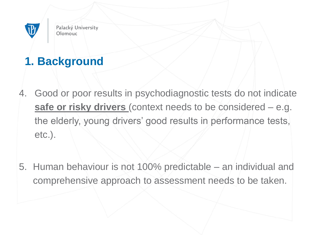

### **1. Background**

- 4. Good or poor results in psychodiagnostic tests do not indicate **safe or risky drivers** (context needs to be considered – e.g. the elderly, young drivers' good results in performance tests, etc.).
- 5. Human behaviour is not 100% predictable an individual and comprehensive approach to assessment needs to be taken.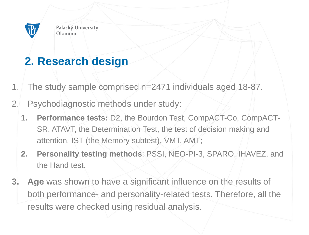

#### **2. Research design**

- 1. The study sample comprised n=2471 individuals aged 18-87.
- 2. Psychodiagnostic methods under study:
	- **1. Performance tests:** D2, the Bourdon Test, CompACT-Co, CompACT-SR, ATAVT, the Determination Test, the test of decision making and attention, IST (the Memory subtest), VMT, AMT;
	- **2. Personality testing methods**: PSSI, NEO-PI-3, SPARO, IHAVEZ, and the Hand test.
- **3. Age** was shown to have a significant influence on the results of both performance- and personality-related tests. Therefore, all the results were checked using residual analysis.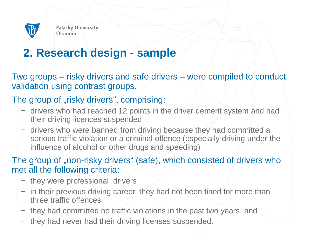

#### **2. Research design - sample**

Two groups – risky drivers and safe drivers – were compiled to conduct validation using contrast groups.

#### The group of "risky drivers", comprising:

- − drivers who had reached 12 points in the driver demerit system and had their driving licences suspended
- − drivers who were banned from driving because they had committed a serious traffic violation or a criminal offence (especially driving under the influence of alcohol or other drugs and speeding)

The group of "non-risky drivers" (safe), which consisted of drivers who met all the following criteria:

- − they were professional drivers
- − in their previous driving career, they had not been fined for more than three traffic offences
- − they had committed no traffic violations in the past two years, and
- − they had never had their driving licenses suspended.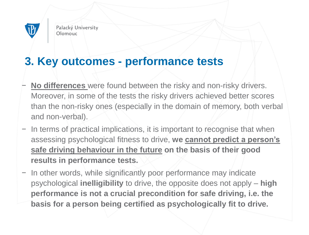

#### **3. Key outcomes - performance tests**

- **No differences** were found between the risky and non-risky drivers. Moreover, in some of the tests the risky drivers achieved better scores than the non-risky ones (especially in the domain of memory, both verbal and non-verbal).
- − In terms of practical implications, it is important to recognise that when assessing psychological fitness to drive, **we cannot predict a person's safe driving behaviour in the future on the basis of their good results in performance tests.**
- − In other words, while significantly poor performance may indicate psychological **inelligibility** to drive, the opposite does not apply – **high performance is not a crucial precondition for safe driving, i.e. the basis for a person being certified as psychologically fit to drive.**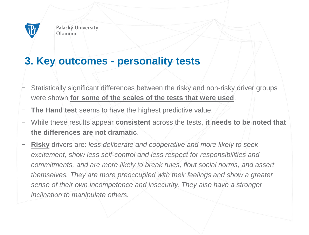

#### **3. Key outcomes - personality tests**

- Statistically significant differences between the risky and non-risky driver groups were shown **for some of the scales of the tests that were used**.
- The Hand test seems to have the highest predictive value.
- − While these results appear **consistent** across the tests, **it needs to be noted that the differences are not dramatic**.
- **Risky** drivers are: *less deliberate and cooperative and more likely to seek excitement, show less self-control and less respect for responsibilities and commitments, and are more likely to break rules, flout social norms, and assert themselves. They are more preoccupied with their feelings and show a greater sense of their own incompetence and insecurity. They also have a stronger inclination to manipulate others.*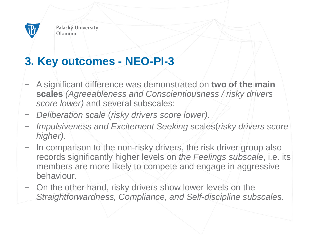

#### **3. Key outcomes - NEO-PI-3**

- − A significant difference was demonstrated on **two of the main scales** *(Agreeableness and Conscientiousness / risky drivers score lower)* and several subscales:
- − *Deliberation scale* (*risky drivers score lower)*.
- − *Impulsiveness and Excitement Seeking* scales(*risky drivers score higher)*.
- In comparison to the non-risky drivers, the risk driver group also records significantly higher levels on *the Feelings subscale*, i.e. its members are more likely to compete and engage in aggressive behaviour.
- − On the other hand, risky drivers show lower levels on the *Straightforwardness, Compliance, and Self-discipline subscales.*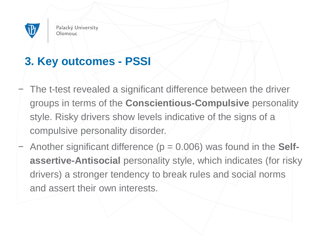

#### **3. Key outcomes - PSSI**

- The t-test revealed a significant difference between the driver groups in terms of the **Conscientious-Compulsive** personality style. Risky drivers show levels indicative of the signs of a compulsive personality disorder.
- − Another significant difference (p = 0.006) was found in the **Selfassertive-Antisocial** personality style, which indicates (for risky drivers) a stronger tendency to break rules and social norms and assert their own interests.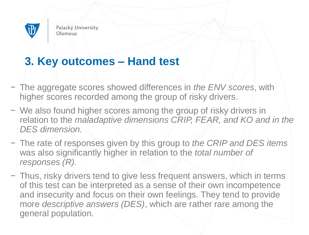

#### **3. Key outcomes – Hand test**

- − The aggregate scores showed differences in *the ENV scores*, with higher scores recorded among the group of risky drivers.
- − We also found higher scores among the group of risky drivers in relation to the *maladaptive dimensions CRIP, FEAR, and KO and in the DES dimension.*
- − The rate of responses given by this group to *the CRIP and DES items*  was also significantly higher in relation to the *total number of responses (R).*
- − Thus, risky drivers tend to give less frequent answers, which in terms of this test can be interpreted as a sense of their own incompetence and insecurity and focus on their own feelings. They tend to provide more *descriptive answers (DES)*, which are rather rare among the general population.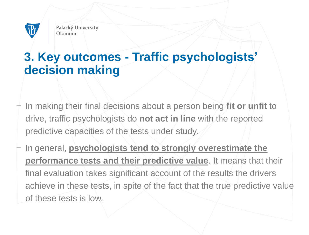

### **3. Key outcomes - Traffic psychologists' decision making**

- − In making their final decisions about a person being **fit or unfit** to drive, traffic psychologists do **not act in line** with the reported predictive capacities of the tests under study.
- − In general, **psychologists tend to strongly overestimate the performance tests and their predictive value**. It means that their final evaluation takes significant account of the results the drivers achieve in these tests, in spite of the fact that the true predictive value of these tests is low.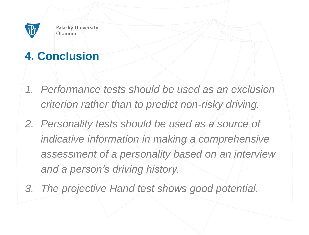

## **4. Conclusion**

- *1. Performance tests should be used as an exclusion criterion rather than to predict non-risky driving.*
- *2. Personality tests should be used as a source of indicative information in making a comprehensive assessment of a personality based on an interview and a person's driving history.*
- *3. The projective Hand test shows good potential.*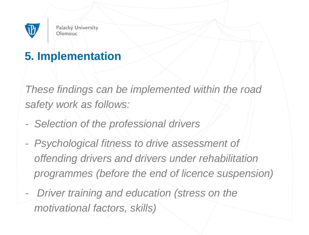

#### **5. Implementation**

*These findings can be implemented within the road safety work as follows:*

- *Selection of the professional drivers*
- *Psychological fitness to drive assessment of offending drivers and drivers under rehabilitation programmes (before the end of licence suspension)*
- *Driver training and education (stress on the motivational factors, skills)*